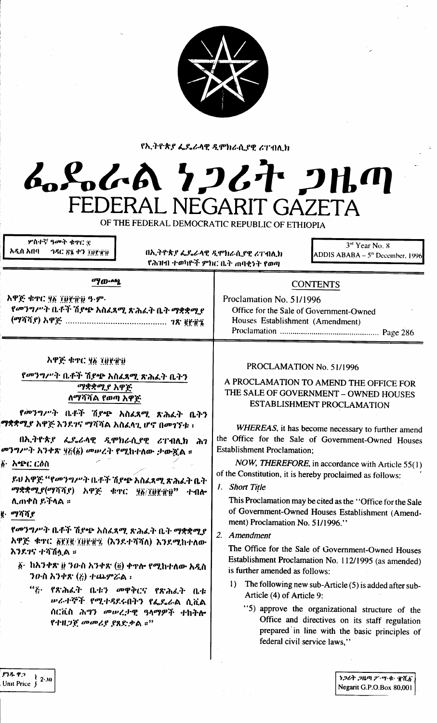

የኢትዮጵያ ፌዴራላዊ ዲሞክራሲያዊ ሪፐብሊክ

## んぺんの クンムヤ フルの FEDERAL NEGARIT GAZETA

OF THE FEDERAL DEMOCRATIC REPUBLIC OF ETHIOPIA

| ዎስተኛ ዓመት ቁኖር ቋ<br>አዲስ አበባ<br><b><i>ABC 8% 47 THRAND</i></b>                                                                                                                                                                                                                                                           | በኢትዮጵያ ፌዴራላዊ ዲሞክራሲያዊ ሪፐብሊክ<br>የሕዝብ ተወካዮች ምክር ቤት ጠባቂነት የወጣ |                                                                                                                                                                                                                                                                                                                                                                                                                                                                                                                                                                                                                                                                              | 3rd Year No. 8<br>ADDIS ABABA – $5th$ December, 1996                                                                                                                                                                                                                                                                     |
|-----------------------------------------------------------------------------------------------------------------------------------------------------------------------------------------------------------------------------------------------------------------------------------------------------------------------|-----------------------------------------------------------|------------------------------------------------------------------------------------------------------------------------------------------------------------------------------------------------------------------------------------------------------------------------------------------------------------------------------------------------------------------------------------------------------------------------------------------------------------------------------------------------------------------------------------------------------------------------------------------------------------------------------------------------------------------------------|--------------------------------------------------------------------------------------------------------------------------------------------------------------------------------------------------------------------------------------------------------------------------------------------------------------------------|
| ማውጫ<br>አዋጅ ቁጥር ያሸ ፲፱፻፹፱ ዓ-ም-<br>የመንግሥት ቤቶች ሽደጭ አስፈጻሚ ጽሕፈት ቤት ማቋቋሚያ<br>አዋጅ ቁጥር ሃ፩ ፲፱፻፹፱<br>የመንግሥት ቤቶች ሽያጭ አስፈጻሚ ጽሕፈት ቤትን                                                                                                                                                                                               |                                                           | <b>CONTENTS</b><br>Proclamation No. 51/1996<br>Office for the Sale of Government-Owned<br>Houses Establishment (Amendment)<br>PROCLAMATION No. 51/1996<br>A PROCLAMATION TO AMEND THE OFFICE FOR<br>THE SALE OF GOVERNMENT - OWNED HOUSES<br>ESTABLISHMENT PROCLAMATION<br>WHEREAS, it has become necessary to further amend<br>the Office for the Sale of Government-Owned Houses<br><b>Establishment Proclamation;</b><br>NOW, THEREFORE, in accordance with Article 55(1)<br>of the Constitution, it is hereby proclaimed as follows:<br>1. Short Title<br>This Proclamation may be cited as the "Office for the Sale<br>of Government-Owned Houses Establishment (Amend- |                                                                                                                                                                                                                                                                                                                          |
| ማቋቋሚያ አዋጅ<br>ለማሻሻል የወጣ አዋጅ<br>የመንግሥት ቤቶች ሽያጭ አስፈጻሚ ጽሕፈት ቤትን<br>ማቋቋሚያ አዋጅ እንደገና ማሻሻል አስፈላጊ ሆኖ በመገኘቱ ፡<br>በአ.ትዮጵያ ፌዴራላዊ ዲሞክራሲያዊ ሪፐብሊክ ሕገ<br>መንግሥት አንቀጽ ፶፫(፩) መሠረት የሚከተለው ታውዷል ፡፡<br>፟ <u>፟</u> ቇ፦ አቴድር ርዕስ<br>ይህ አዋጅ ''የመንግሥት ቤቶች ሽያጭ አስፈጻሚ ጽሕፈት ቤት<br>ማቋቋሚያ(ማሻሻያ) አዋጅ ቁጥር ያ፩/፲፱፻፹፱"<br>ተብሎ<br>ሊጠቀስ ይችላል ፡፡<br>ig. ማሻሻያ |                                                           |                                                                                                                                                                                                                                                                                                                                                                                                                                                                                                                                                                                                                                                                              |                                                                                                                                                                                                                                                                                                                          |
| የመንግሥት ቤቶች ሽያጭ አስፈጻሚ ጽሕፈት ቤት ማቋቋሚያ<br>አዋጅ ቁጥር ፩፻፲፪/፲፱፻፹፯ (እንደተሻሻለ) እንደሚከተለው<br>እንደገና ተሻሽሏል ።<br>፩• ከአንቀጽ ፱ ንውስ አንቀጽ (፬) ቀዋሎ የሚከተለው አዲስ<br>ንውስ አንቀጽ $(i)$ ተጨምሯል ፡<br>$``i$ .<br>የጽሕፈት ቤቱን መዋቅርና የጽሕፈት ቤቱ<br>ሥራተኞች የሚተዳደሩበትን የፌዴራል ሲቪል<br>ሰርቪስ ሕግን መሠረታዊ ዓላማዎች ተከትሎ<br>የተዘጋጀ መመሪያ ያጸድቃል ።"                              |                                                           | ment) Proclamation No. 51/1996."<br>2. Amendment<br>is further amended as follows:<br>$\bf{D}$<br>Article (4) of Article 9:<br>federal civil service laws,"                                                                                                                                                                                                                                                                                                                                                                                                                                                                                                                  | The Office for the Sale of Government-Owned Houses<br>Establishment Proclamation No. 112/1995 (as amended)<br>The following new sub-Article (5) is added after sub-<br>"5) approve the organizational structure of the<br>Office and directives on its staff regulation<br>prepared in line with the basic principles of |